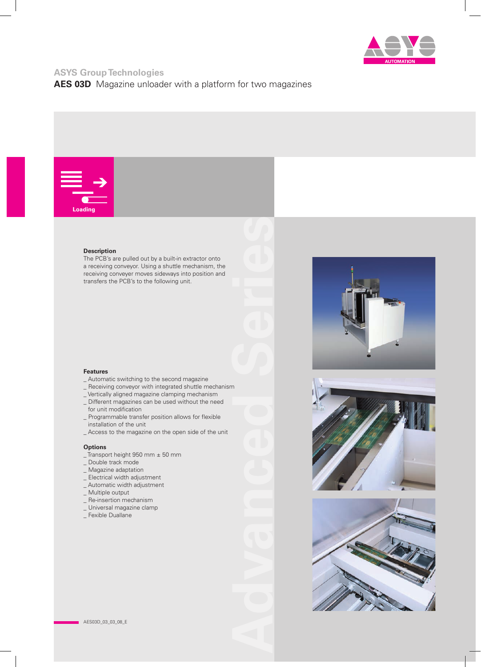

# **ASYS Group Technologies**

**AES 03D** Magazine unloader with a platform for two magazines



### **Description**

The PCB's are pulled out by a built-in extractor onto a receiving conveyor. Using a shuttle mechanism, the receiving conveyer moves sideways into position and transfers the PCB's to the following unit.









#### **Features**

- \_ Automatic switching to the second magazine
- \_ Receiving conveyor with integrated shuttle mechanism
- \_ Vertically aligned magazine clamping mechanism
- \_ Different magazines can be used without the need for unit modification
- \_ Programmable transfer position allows for flexible installation of the unit
- \_ Access to the magazine on the open side of the unit

#### **Options**

- \_ Transport height 950 mm ± 50 mm
- \_ Double track mode
- \_ Magazine adaptation
- \_ Electrical width adjustment
- \_ Automatic width adjustment
- \_ Multiple output
- \_ Re-insertion mechanism
- \_ Universal magazine clamp
- \_ Fexible Duallane

**Advanced Series**